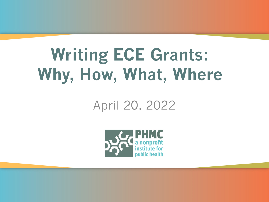## **Writing ECE Grants: Why, How, What, Where**

#### April 20, 2022

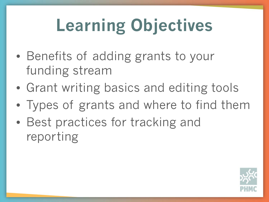# **Learning Objectives**

- Benefits of adding grants to your funding stream
- Grant writing basics and editing tools
- Types of grants and where to find them
- Best practices for tracking and reporting

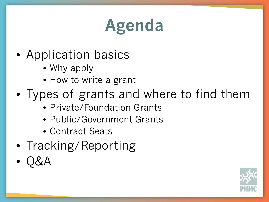## **Agenda**

- Application basics
	- Why apply
	- How to write a grant
- Types of grants and where to find them
	- Private/Foundation Grants
	- Public/Government Grants
	- Contract Seats
- Tracking/Reporting
- Q&A

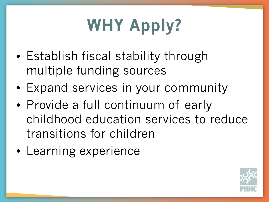# **WHY Apply?**

- Establish fiscal stability through multiple funding sources
- Expand services in your community
- Provide a full continuum of early childhood education services to reduce transitions for children
- Learning experience

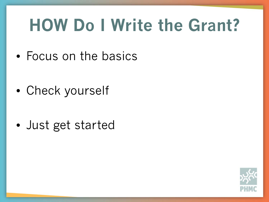## **HOW Do I Write the Grant?**

• Focus on the basics

• Check yourself

• Just get started

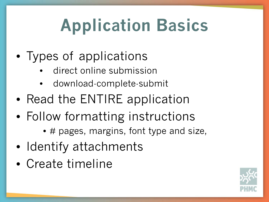# **Application Basics**

- Types of applications
	- direct online submission
	- download-complete-submit
- Read the ENTIRE application
- Follow formatting instructions
	- # pages, margins, font type and size,
- Identify attachments
- Create timeline

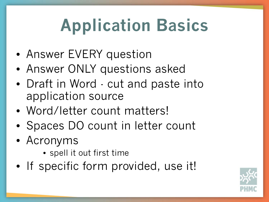# **Application Basics**

- Answer EVERY question
- Answer ONLY questions asked
- Draft in Word cut and paste into application source
- Word/letter count matters!
- Spaces DO count in letter count
- Acronyms
	- spell it out first time
- If specific form provided, use it!

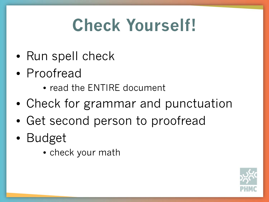## **Check Yourself!**

- Run spell check
- Proofread
	- read the ENTIRE document
- Check for grammar and punctuation
- Get second person to proofread
- Budget
	- check your math

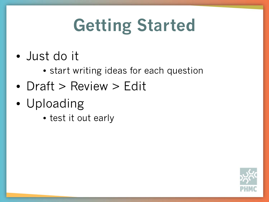# **Getting Started**

- Just do it
	- start writing ideas for each question
- Draft > Review > Edit
- Uploading
	- test it out early

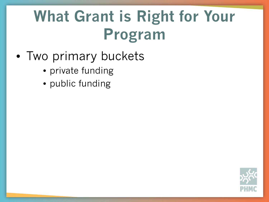### **What Grant is Right for Your Program**

- Two primary buckets
	- private funding
	- public funding

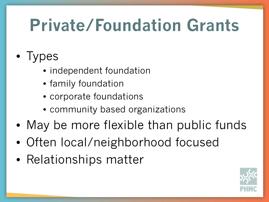## **Private/Foundation Grants**

- Types
	- independent foundation
	- family foundation
	- corporate foundations
	- community based organizations
- May be more flexible than public funds
- Often local/neighborhood focused
- Relationships matter

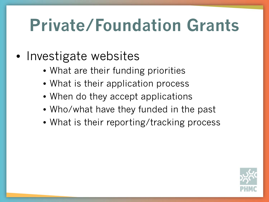## **Private/Foundation Grants**

#### • Investigate websites

- What are their funding priorities
- What is their application process
- When do they accept applications
- Who/what have they funded in the past
- What is their reporting/tracking process

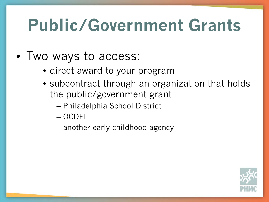## **Public/Government Grants**

- Two ways to access:
	- direct award to your program
	- subcontract through an organization that holds the public/government grant
		- Philadelphia School District
		- OCDEL
		- another early childhood agency

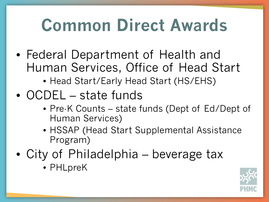## **Common Direct Awards**

- Federal Department of Health and Human Services, Office of Head Start
	- Head Start/Early Head Start (HS/EHS)
- OCDEL state funds
	- Pre-K Counts state funds (Dept of Ed/Dept of Human Services)
	- HSSAP (Head Start Supplemental Assistance Program)
- City of Philadelphia beverage tax
	- PHLpreK

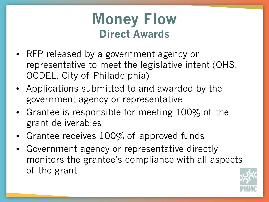### **Money Flow Direct Awards**

- RFP released by a government agency or representative to meet the legislative intent (OHS, OCDEL, City of Philadelphia)
- Applications submitted to and awarded by the government agency or representative
- Grantee is responsible for meeting 100% of the grant deliverables
- Grantee receives 100% of approved funds
- Government agency or representative directly monitors the grantee's compliance with all aspects of the grant

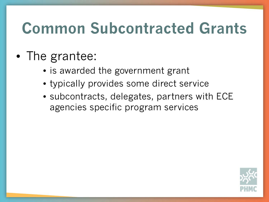### **Common Subcontracted Grants**

#### • The grantee:

- is awarded the government grant
- typically provides some direct service
- subcontracts, delegates, partners with ECE agencies specific program services

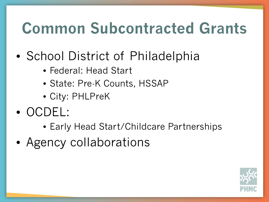### **Common Subcontracted Grants**

- School District of Philadelphia
	- Federal: Head Start
	- State: Pre-K Counts, HSSAP
	- City: PHLPreK
- OCDEL:
	- Early Head Start/Childcare Partnerships
- Agency collaborations

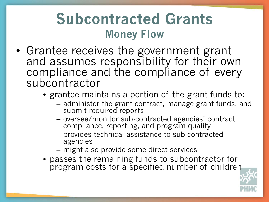### **Subcontracted Grants Money Flow**

- Grantee receives the government grant and assumes responsibility for their own compliance and the compliance of every subcontractor
	- grantee maintains a portion of the grant funds to:
		- administer the grant contract, manage grant funds, and submit required reports
		- oversee/monitor sub-contracted agencies' contract compliance, reporting, and program quality
		- provides technical assistance to sub-contracted agencies
		- might also provide some direct services
	- passes the remaining funds to subcontractor for program costs for a specified number of children

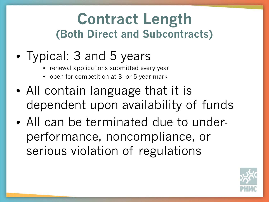### **Contract Length (Both Direct and Subcontracts)**

### • Typical: 3 and 5 years

- renewal applications submitted every year
- open for competition at 3- or 5-year mark
- All contain language that it is dependent upon availability of funds
- All can be terminated due to underperformance, noncompliance, or serious violation of regulations

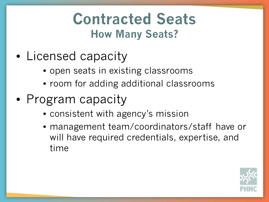### **Contracted Seats How Many Seats?**

- Licensed capacity
	- open seats in existing classrooms
	- room for adding additional classrooms
- Program capacity
	- consistent with agency's mission
	- management team/coordinators/staff have or will have required credentials, expertise, and time

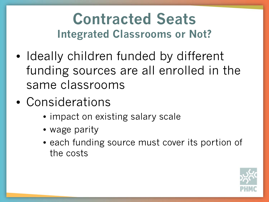### **Contracted Seats Integrated Classrooms or Not?**

- Ideally children funded by different funding sources are all enrolled in the same classrooms
- Considerations
	- impact on existing salary scale
	- wage parity
	- each funding source must cover its portion of the costs

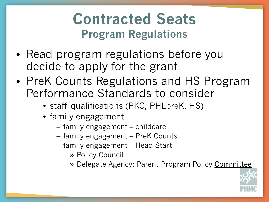### **Contracted Seats Program Regulations**

- Read program regulations before you decide to apply for the grant
- PreK Counts Regulations and HS Program Performance Standards to consider
	- staff qualifications (PKC, PHLpreK, HS)
	- family engagement
		- family engagement childcare
		- family engagement PreK Counts
		- family engagement Head Start
			- » Policy Council
			- » Delegate Agency: Parent Program Policy Committee

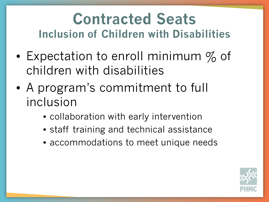### **Contracted Seats Inclusion of Children with Disabilities**

- Expectation to enroll minimum  $\%$  of children with disabilities
- A program's commitment to full inclusion
	- collaboration with early intervention
	- staff training and technical assistance
	- accommodations to meet unique needs

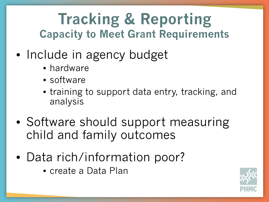### **Tracking & Reporting Capacity to Meet Grant Requirements**

- Include in agency budget
	- hardware
	- software
	- training to support data entry, tracking, and analysis
- Software should support measuring child and family outcomes
- Data rich/information poor?
	- create a Data Plan

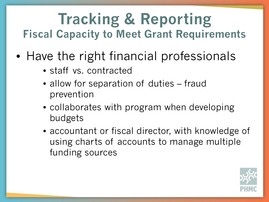### **Tracking & Reporting Fiscal Capacity to Meet Grant Requirements**

- Have the right financial professionals
	- staff vs. contracted
	- allow for separation of duties fraud prevention
	- collaborates with program when developing budgets
	- accountant or fiscal director, with knowledge of using charts of accounts to manage multiple funding sources

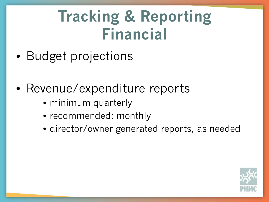### **Tracking & Reporting Financial**

- Budget projections
- Revenue/expenditure reports
	- minimum quarterly
	- recommended: monthly
	- director/owner generated reports, as needed

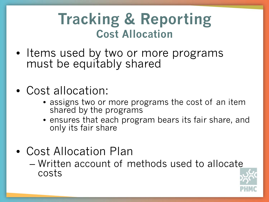### **Tracking & Reporting Cost Allocation**

- Items used by two or more programs must be equitably shared
- Cost allocation:
	- assigns two or more programs the cost of an item shared by the programs
	- ensures that each program bears its fair share, and only its fair share
- Cost Allocation Plan
	- Written account of methods used to allocate costs